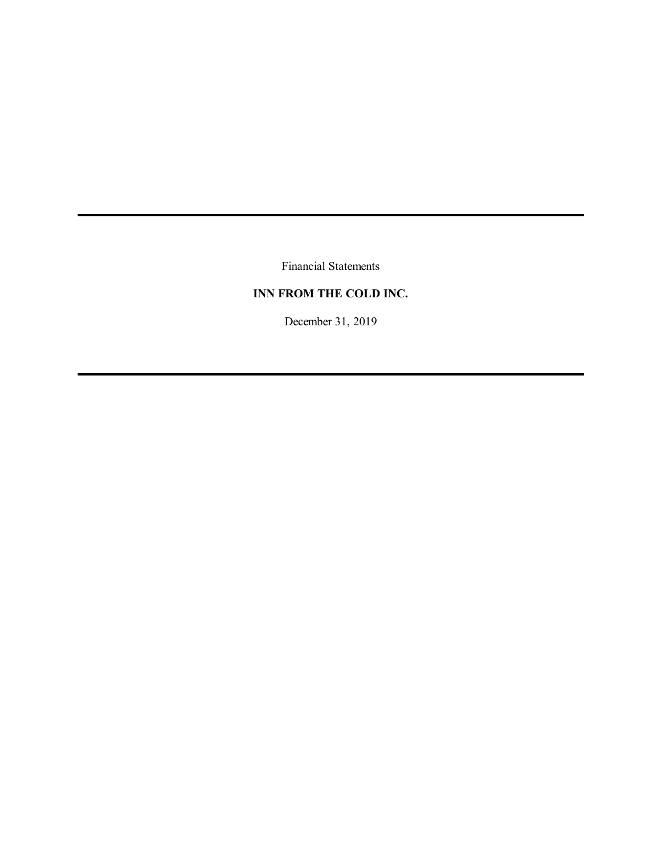Financial Statements

# **INN FROM THE COLD INC.**

December 31, 2019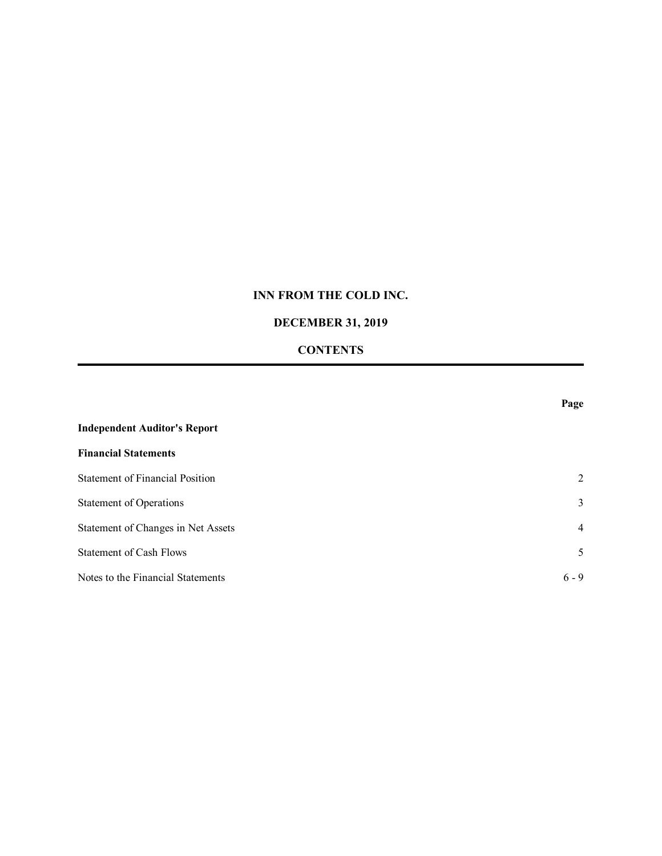# **INN FROM THE COLD INC.**

# **DECEMBER 31, 2019**

# **CONTENTS**

|                                        | Page           |
|----------------------------------------|----------------|
| <b>Independent Auditor's Report</b>    |                |
| <b>Financial Statements</b>            |                |
| <b>Statement of Financial Position</b> | $\overline{2}$ |
| Statement of Operations                | 3              |
| Statement of Changes in Net Assets     | $\overline{4}$ |
| <b>Statement of Cash Flows</b>         | 5              |
| Notes to the Financial Statements      | $6 - 9$        |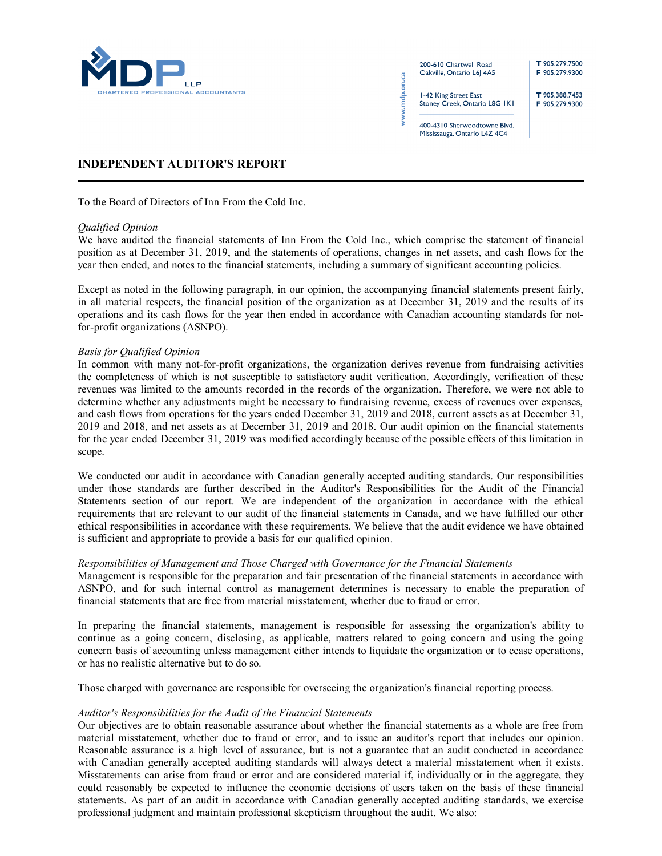

200-610 Chartwell Road Oakville, Ontario L6J 4A5

www.mdp.on.ca

T 905.279.7500 F 905.279.9300

1-42 King Street East Stoney Creek, Ontario L8G IKI T 905.388.7453 F 905.279.9300

400-4310 Sherwoodtowne Blvd.

Mississauga, Ontario L4Z 4C4

# **INDEPENDENT AUDITOR'S REPORT**

To the Board of Directors of Inn From the Cold Inc.

# *Qualified Opinion*

We have audited the financial statements of Inn From the Cold Inc., which comprise the statement of financial position as at December 31, 2019, and the statements of operations, changes in net assets, and cash flows for the year then ended, and notes to the financial statements, including a summary of significant accounting policies.

Except as noted in the following paragraph, in our opinion, the accompanying financial statements present fairly, in all material respects, the financial position of the organization as at December 31, 2019 and the results of its operations and its cash flows for the year then ended in accordance with Canadian accounting standards for notfor-profit organizations (ASNPO).

#### *Basis for Qualified Opinion*

In common with many not-for-profit organizations, the organization derives revenue from fundraising activities the completeness of which is not susceptible to satisfactory audit verification. Accordingly, verification of these revenues was limited to the amounts recorded in the records of the organization. Therefore, we were not able to determine whether any adjustments might be necessary to fundraising revenue, excess of revenues over expenses, and cash flows from operations for the years ended December 31, 2019 and 2018, current assets as at December 31, 2019 and 2018, and net assets as at December 31, 2019 and 2018. Our audit opinion on the financial statements for the year ended December 31, 2019 was modified accordingly because of the possible effects of this limitation in scope.

We conducted our audit in accordance with Canadian generally accepted auditing standards. Our responsibilities under those standards are further described in the Auditor's Responsibilities for the Audit of the Financial Statements section of our report. We are independent of the organization in accordance with the ethical requirements that are relevant to our audit of the financial statements in Canada, and we have fulfilled our other ethical responsibilities in accordance with these requirements. We believe that the audit evidence we have obtained is sufficient and appropriate to provide a basis for our qualified opinion.

#### *Responsibilities of Management and Those Charged with Governance for the Financial Statements*

Management is responsible for the preparation and fair presentation of the financial statements in accordance with ASNPO, and for such internal control as management determines is necessary to enable the preparation of financial statements that are free from material misstatement, whether due to fraud or error.

In preparing the financial statements, management is responsible for assessing the organization's ability to continue as a going concern, disclosing, as applicable, matters related to going concern and using the going concern basis of accounting unless management either intends to liquidate the organization or to cease operations, or has no realistic alternative but to do so.

Those charged with governance are responsible for overseeing the organization's financial reporting process.

# *Auditor's Responsibilities for the Audit of the Financial Statements*

Our objectives are to obtain reasonable assurance about whether the financial statements as a whole are free from material misstatement, whether due to fraud or error, and to issue an auditor's report that includes our opinion. Reasonable assurance is a high level of assurance, but is not a guarantee that an audit conducted in accordance with Canadian generally accepted auditing standards will always detect a material misstatement when it exists. Misstatements can arise from fraud or error and are considered material if, individually or in the aggregate, they could reasonably be expected to influence the economic decisions of users taken on the basis of these financial statements. As part of an audit in accordance with Canadian generally accepted auditing standards, we exercise professional judgment and maintain professional skepticism throughout the audit. We also: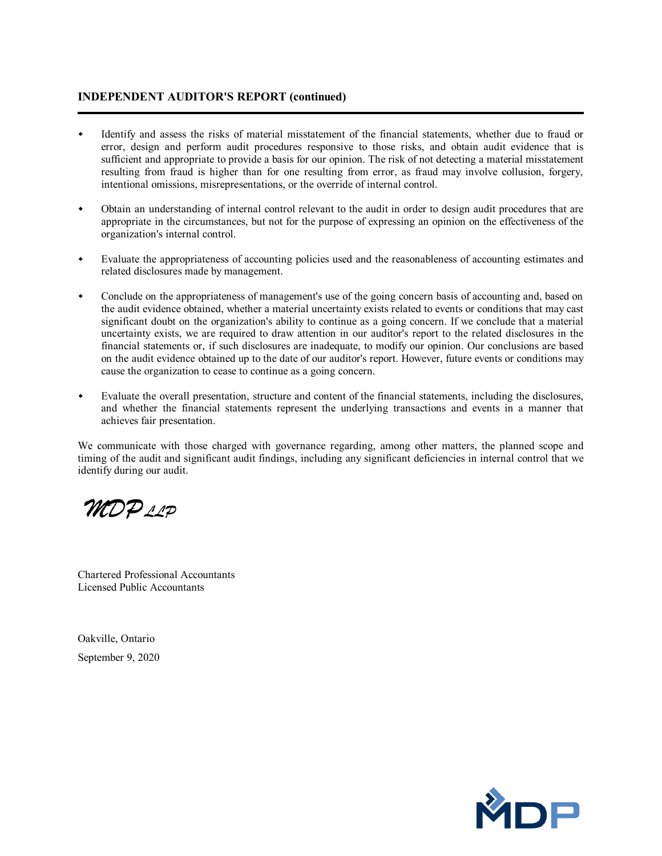# **INDEPENDENT AUDITOR'S REPORT (continued)**

- Identify and assess the risks of material misstatement of the financial statements, whether due to fraud or error, design and perform audit procedures responsive to those risks, and obtain audit evidence that is sufficient and appropriate to provide a basis for our opinion. The risk of not detecting a material misstatement resulting from fraud is higher than for one resulting from error, as fraud may involve collusion, forgery, intentional omissions, misrepresentations, or the override of internal control.
- Obtain an understanding of internal control relevant to the audit in order to design audit procedures that are appropriate in the circumstances, but not for the purpose of expressing an opinion on the effectiveness of the organization's internal control.
- w Evaluate the appropriateness of accounting policies used and the reasonableness of accounting estimates and related disclosures made by management.
- Conclude on the appropriateness of management's use of the going concern basis of accounting and, based on the audit evidence obtained, whether a material uncertainty exists related to events or conditions that may cast significant doubt on the organization's ability to continue as a going concern. If we conclude that a material uncertainty exists, we are required to draw attention in our auditor's report to the related disclosures in the financial statements or, if such disclosures are inadequate, to modify our opinion. Our conclusions are based on the audit evidence obtained up to the date of our auditor's report. However, future events or conditions may cause the organization to cease to continue as a going concern.
- w Evaluate the overall presentation, structure and content of the financial statements, including the disclosures, and whether the financial statements represent the underlying transactions and events in a manner that achieves fair presentation.

We communicate with those charged with governance regarding, among other matters, the planned scope and timing of the audit and significant audit findings, including any significant deficiencies in internal control that we identify during our audit.

MDP 11P

Chartered Professional Accountants Licensed Public Accountants

Oakville, Ontario September 9, 2020

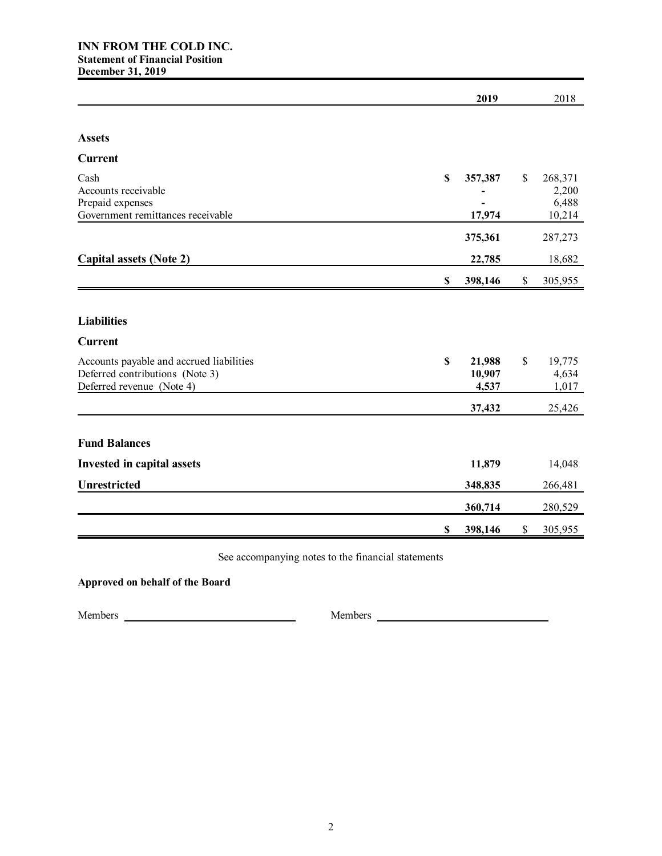|                                                                                                          |                           | 2019                      |              | 2018                                |
|----------------------------------------------------------------------------------------------------------|---------------------------|---------------------------|--------------|-------------------------------------|
|                                                                                                          |                           |                           |              |                                     |
| <b>Assets</b>                                                                                            |                           |                           |              |                                     |
| <b>Current</b>                                                                                           |                           |                           |              |                                     |
| Cash<br>Accounts receivable<br>Prepaid expenses<br>Government remittances receivable                     | $\boldsymbol{\mathsf{S}}$ | 357,387<br>17,974         | \$           | 268,371<br>2,200<br>6,488<br>10,214 |
|                                                                                                          |                           | 375,361                   |              | 287,273                             |
| <b>Capital assets (Note 2)</b>                                                                           |                           | 22,785                    |              | 18,682                              |
|                                                                                                          | $\mathbf S$               | 398,146                   | \$           | 305,955                             |
| <b>Liabilities</b>                                                                                       |                           |                           |              |                                     |
| <b>Current</b>                                                                                           |                           |                           |              |                                     |
| Accounts payable and accrued liabilities<br>Deferred contributions (Note 3)<br>Deferred revenue (Note 4) | $\mathbf S$               | 21,988<br>10,907<br>4,537 | $\mathbb{S}$ | 19,775<br>4,634<br>1,017            |
|                                                                                                          |                           | 37,432                    |              | 25,426                              |
| <b>Fund Balances</b>                                                                                     |                           |                           |              |                                     |
| <b>Invested in capital assets</b>                                                                        |                           | 11,879                    |              | 14,048                              |
| <b>Unrestricted</b>                                                                                      |                           | 348,835                   |              | 266,481                             |
|                                                                                                          |                           | 360,714                   |              | 280,529                             |
|                                                                                                          | $\mathbb{S}$              | 398,146                   | $\$$         | 305,955                             |

See accompanying notes to the financial statements

**Approved on behalf of the Board**

Members Members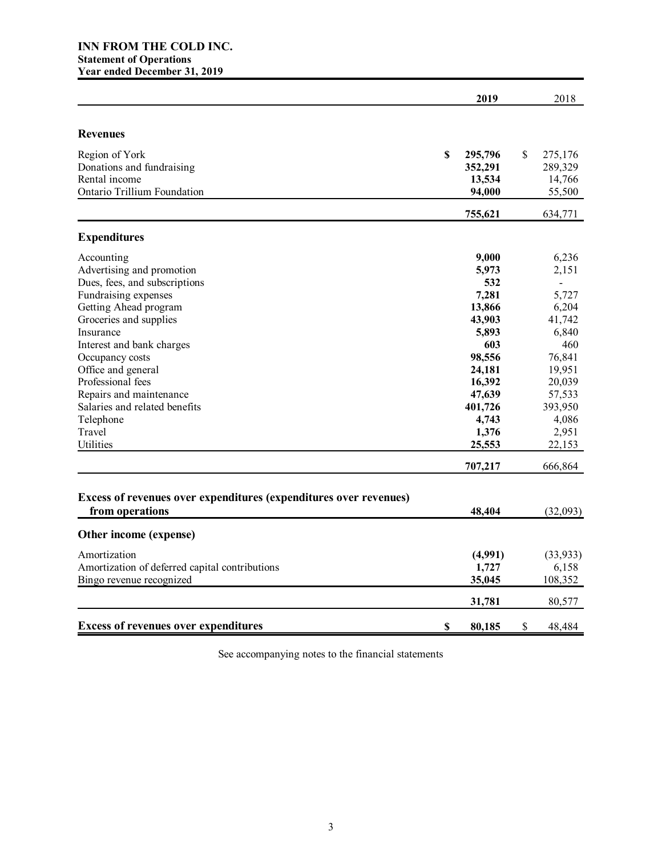# **INN FROM THE COLD INC. Statement of Operations Year ended December 31, 2019**

|                                                                          |             | 2019    |              | 2018                     |
|--------------------------------------------------------------------------|-------------|---------|--------------|--------------------------|
|                                                                          |             |         |              |                          |
| <b>Revenues</b>                                                          |             |         |              |                          |
| Region of York                                                           | $\mathbf S$ | 295,796 | $\mathbb{S}$ | 275,176                  |
| Donations and fundraising                                                |             | 352,291 |              | 289,329                  |
| Rental income                                                            |             | 13,534  |              | 14,766                   |
| Ontario Trillium Foundation                                              |             | 94,000  |              | 55,500                   |
|                                                                          |             | 755,621 |              | 634,771                  |
| <b>Expenditures</b>                                                      |             |         |              |                          |
| Accounting                                                               |             | 9,000   |              | 6,236                    |
| Advertising and promotion                                                |             | 5,973   |              | 2,151                    |
| Dues, fees, and subscriptions                                            |             | 532     |              | $\overline{\phantom{a}}$ |
| Fundraising expenses                                                     |             | 7,281   |              | 5,727                    |
| Getting Ahead program                                                    |             | 13,866  |              | 6,204                    |
| Groceries and supplies                                                   |             | 43,903  |              | 41,742                   |
| Insurance                                                                |             | 5,893   |              | 6,840                    |
| Interest and bank charges                                                |             | 603     |              | 460                      |
| Occupancy costs                                                          |             | 98,556  |              | 76,841                   |
| Office and general                                                       |             | 24,181  |              | 19,951                   |
| Professional fees                                                        |             | 16,392  |              | 20,039                   |
| Repairs and maintenance                                                  |             | 47,639  |              | 57,533                   |
| Salaries and related benefits                                            |             | 401,726 |              | 393,950                  |
| Telephone                                                                |             | 4,743   |              | 4,086                    |
| Travel                                                                   |             | 1,376   |              | 2,951                    |
| Utilities                                                                |             | 25,553  |              | 22,153                   |
|                                                                          |             | 707,217 |              | 666,864                  |
|                                                                          |             |         |              |                          |
| <b>Excess of revenues over expenditures (expenditures over revenues)</b> |             |         |              |                          |
| from operations                                                          |             | 48,404  |              | (32,093)                 |
| Other income (expense)                                                   |             |         |              |                          |
| Amortization                                                             |             | (4,991) |              | (33,933)                 |
| Amortization of deferred capital contributions                           |             | 1,727   |              | 6,158                    |
| Bingo revenue recognized                                                 |             | 35,045  |              | 108,352                  |
|                                                                          |             | 31,781  |              | 80,577                   |
| <b>Excess of revenues over expenditures</b>                              | $\mathbf S$ | 80,185  | $\mathbb{S}$ | 48,484                   |

See accompanying notes to the financial statements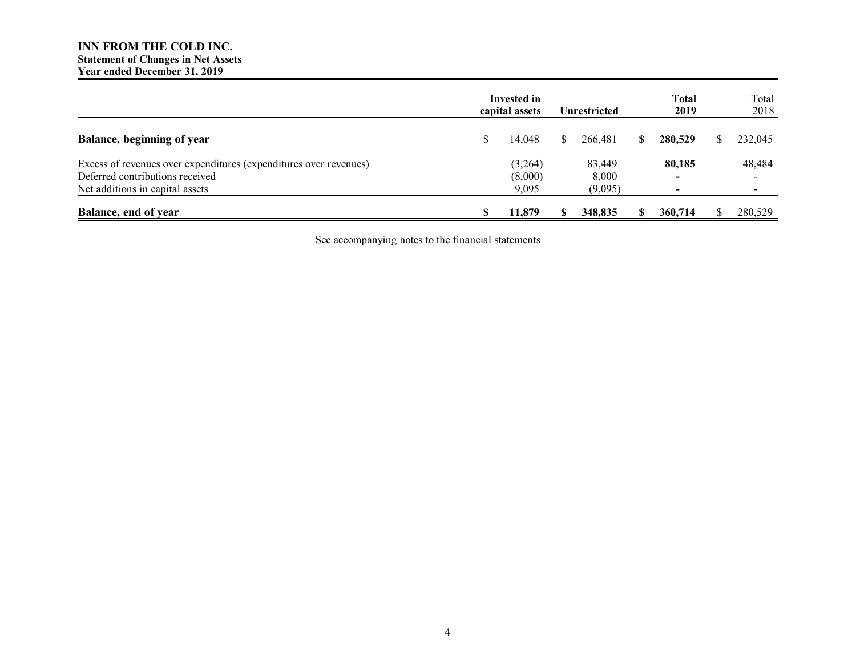|                                                                                                      |   | Invested in<br>capital assets | <b>Unrestricted</b> |   | <b>Total</b><br>2019 | Total<br>2018            |
|------------------------------------------------------------------------------------------------------|---|-------------------------------|---------------------|---|----------------------|--------------------------|
| <b>Balance, beginning of year</b>                                                                    | S | 14.048                        | 266,481             | S | 280,529              | 232,045                  |
| Excess of revenues over expenditures (expenditures over revenues)<br>Deferred contributions received |   | (3,264)<br>(8,000)            | 83,449<br>8,000     |   | 80,185               | 48,484                   |
| Net additions in capital assets                                                                      |   | 9,095                         | (9,095)             |   | -                    | $\overline{\phantom{0}}$ |
| Balance, end of year                                                                                 |   | 11,879                        | 348,835             |   | 360,714              | 280,529                  |

See accompanying notes to the financial statements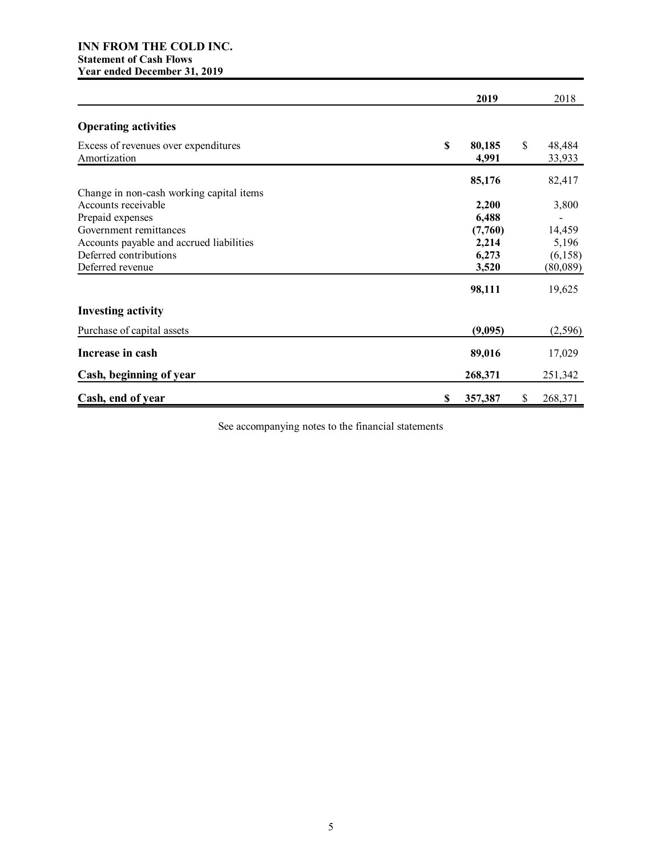# **INN FROM THE COLD INC. Statement of Cash Flows Year ended December 31, 2019**

|                                                                                     | 2019                  | 2018                   |
|-------------------------------------------------------------------------------------|-----------------------|------------------------|
| <b>Operating activities</b>                                                         |                       |                        |
| Excess of revenues over expenditures<br>Amortization                                | \$<br>80,185<br>4,991 | \$<br>48,484<br>33,933 |
|                                                                                     | 85,176                | 82,417                 |
| Change in non-cash working capital items<br>Accounts receivable<br>Prepaid expenses | 2,200<br>6,488        | 3,800                  |
| Government remittances<br>Accounts payable and accrued liabilities                  | (7,760)<br>2,214      | 14,459<br>5,196        |
| Deferred contributions<br>Deferred revenue                                          | 6,273<br>3,520        | (6,158)<br>(80,089)    |
|                                                                                     | 98,111                | 19,625                 |
| <b>Investing activity</b>                                                           |                       |                        |
| Purchase of capital assets                                                          | (9,095)               | (2,596)                |
| Increase in cash                                                                    | 89,016                | 17,029                 |
| Cash, beginning of year                                                             | 268,371               | 251,342                |
| Cash, end of year                                                                   | \$<br>357,387         | \$<br>268,371          |

See accompanying notes to the financial statements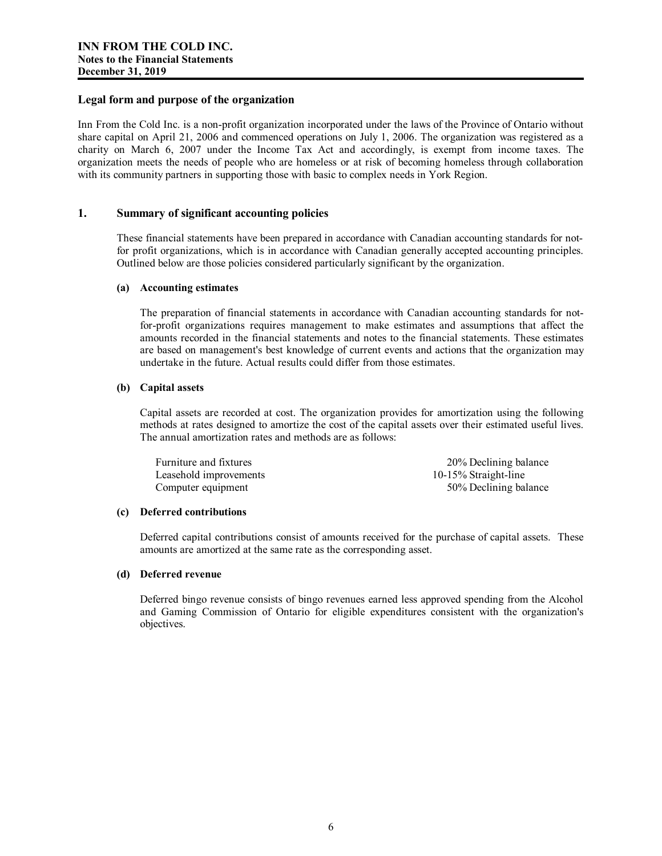## **Legal form and purpose of the organization**

Inn From the Cold Inc. is a non-profit organization incorporated under the laws of the Province of Ontario without share capital on April 21, 2006 and commenced operations on July 1, 2006. The organization was registered as a charity on March 6, 2007 under the Income Tax Act and accordingly, is exempt from income taxes. The organization meets the needs of people who are homeless or at risk of becoming homeless through collaboration with its community partners in supporting those with basic to complex needs in York Region.

## **1. Summary of significant accounting policies**

These financial statements have been prepared in accordance with Canadian accounting standards for notfor profit organizations, which is in accordance with Canadian generally accepted accounting principles. Outlined below are those policies considered particularly significant by the organization.

#### **(a) Accounting estimates**

The preparation of financial statements in accordance with Canadian accounting standards for notfor-profit organizations requires management to make estimates and assumptions that affect the amounts recorded in the financial statements and notes to the financial statements. These estimates are based on management's best knowledge of current events and actions that the organization may undertake in the future. Actual results could differ from those estimates.

#### **(b) Capital assets**

Capital assets are recorded at cost. The organization provides for amortization using the following methods at rates designed to amortize the cost of the capital assets over their estimated useful lives. The annual amortization rates and methods are as follows:

| Furniture and fixtures | 20% Declining balance   |
|------------------------|-------------------------|
| Leasehold improvements | $10-15\%$ Straight-line |
| Computer equipment     | 50% Declining balance   |

#### **(c) Deferred contributions**

Deferred capital contributions consist of amounts received for the purchase of capital assets. These amounts are amortized at the same rate as the corresponding asset.

#### **(d) Deferred revenue**

Deferred bingo revenue consists of bingo revenues earned less approved spending from the Alcohol and Gaming Commission of Ontario for eligible expenditures consistent with the organization's objectives.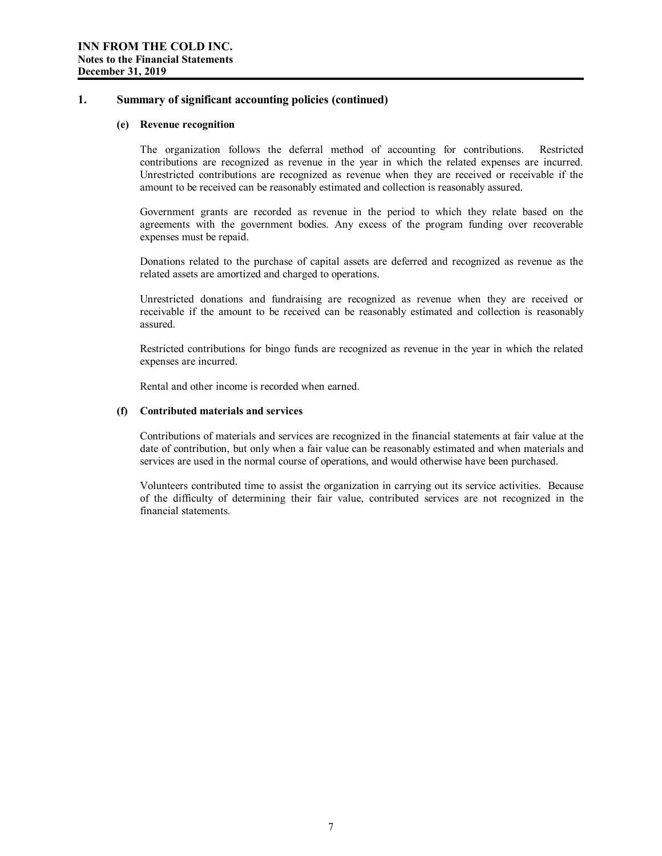# **1. Summary of significant accounting policies (continued)**

#### **(e) Revenue recognition**

The organization follows the deferral method of accounting for contributions. Restricted contributions are recognized as revenue in the year in which the related expenses are incurred. Unrestricted contributions are recognized as revenue when they are received or receivable if the amount to be received can be reasonably estimated and collection is reasonably assured.

Government grants are recorded as revenue in the period to which they relate based on the agreements with the government bodies. Any excess of the program funding over recoverable expenses must be repaid.

Donations related to the purchase of capital assets are deferred and recognized as revenue as the related assets are amortized and charged to operations.

Unrestricted donations and fundraising are recognized as revenue when they are received or receivable if the amount to be received can be reasonably estimated and collection is reasonably assured.

Restricted contributions for bingo funds are recognized as revenue in the year in which the related expenses are incurred.

Rental and other income is recorded when earned.

# **(f) Contributed materials and services**

Contributions of materials and services are recognized in the financial statements at fair value at the date of contribution, but only when a fair value can be reasonably estimated and when materials and services are used in the normal course of operations, and would otherwise have been purchased.

Volunteers contributed time to assist the organization in carrying out its service activities. Because of the difficulty of determining their fair value, contributed services are not recognized in the financial statements.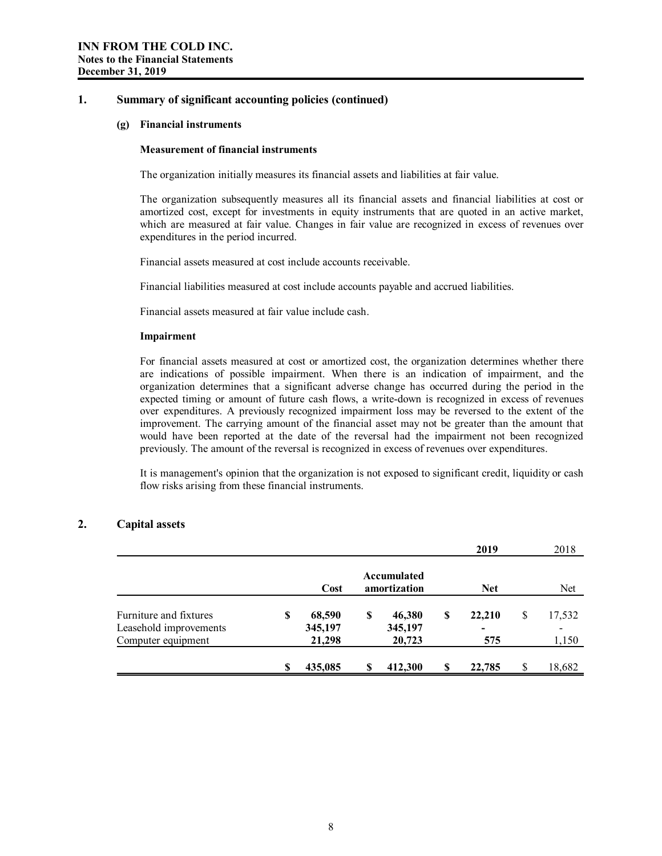# **1. Summary of significant accounting policies (continued)**

#### **(g) Financial instruments**

#### **Measurement of financial instruments**

The organization initially measures its financial assets and liabilities at fair value.

The organization subsequently measures all its financial assets and financial liabilities at cost or amortized cost, except for investments in equity instruments that are quoted in an active market, which are measured at fair value. Changes in fair value are recognized in excess of revenues over expenditures in the period incurred.

Financial assets measured at cost include accounts receivable.

Financial liabilities measured at cost include accounts payable and accrued liabilities.

Financial assets measured at fair value include cash.

#### **Impairment**

For financial assets measured at cost or amortized cost, the organization determines whether there are indications of possible impairment. When there is an indication of impairment, and the organization determines that a significant adverse change has occurred during the period in the expected timing or amount of future cash flows, a write-down is recognized in excess of revenues over expenditures. A previously recognized impairment loss may be reversed to the extent of the improvement. The carrying amount of the financial asset may not be greater than the amount that would have been reported at the date of the reversal had the impairment not been recognized previously. The amount of the reversal is recognized in excess of revenues over expenditures.

It is management's opinion that the organization is not exposed to significant credit, liquidity or cash flow risks arising from these financial instruments.

# **2. Capital assets**

|                                                                        |    |                             |    |                             |    | 2019                                      | 2018                  |
|------------------------------------------------------------------------|----|-----------------------------|----|-----------------------------|----|-------------------------------------------|-----------------------|
|                                                                        |    | Cost                        |    | Accumulated<br>amortization |    | <b>Net</b>                                | Net                   |
| Furniture and fixtures<br>Leasehold improvements<br>Computer equipment | S  | 68,590<br>345,197<br>21,298 | S  | 46,380<br>345,197<br>20,723 | S  | 22,210<br>$\overline{\phantom{a}}$<br>575 | \$<br>17,532<br>1,150 |
|                                                                        | \$ | 435,085                     | \$ | 412,300                     | £. | 22,785                                    | 18,682                |